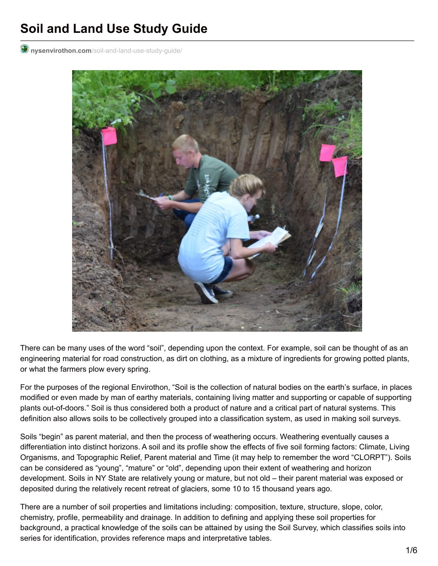# **Soil and Land Use Study Guide**

**nysenvirothon.com**[/soil-and-land-use-study-guide/](http://www.nysenvirothon.com/soil-and-land-use-study-guide/)



There can be many uses of the word "soil", depending upon the context. For example, soil can be thought of as an engineering material for road construction, as dirt on clothing, as a mixture of ingredients for growing potted plants, or what the farmers plow every spring.

For the purposes of the regional Envirothon, "Soil is the collection of natural bodies on the earth's surface, in places modified or even made by man of earthy materials, containing living matter and supporting or capable of supporting plants out-of-doors." Soil is thus considered both a product of nature and a critical part of natural systems. This definition also allows soils to be collectively grouped into a classification system, as used in making soil surveys.

Soils "begin" as parent material, and then the process of weathering occurs. Weathering eventually causes a differentiation into distinct horizons. A soil and its profile show the effects of five soil forming factors: Climate, Living Organisms, and Topographic Relief, Parent material and Time (it may help to remember the word "CLORPT"). Soils can be considered as "young", "mature" or "old", depending upon their extent of weathering and horizon development. Soils in NY State are relatively young or mature, but not old – their parent material was exposed or deposited during the relatively recent retreat of glaciers, some 10 to 15 thousand years ago.

There are a number of soil properties and limitations including: composition, texture, structure, slope, color, chemistry, profile, permeability and drainage. In addition to defining and applying these soil properties for background, a practical knowledge of the soils can be attained by using the Soil Survey, which classifies soils into series for identification, provides reference maps and interpretative tables.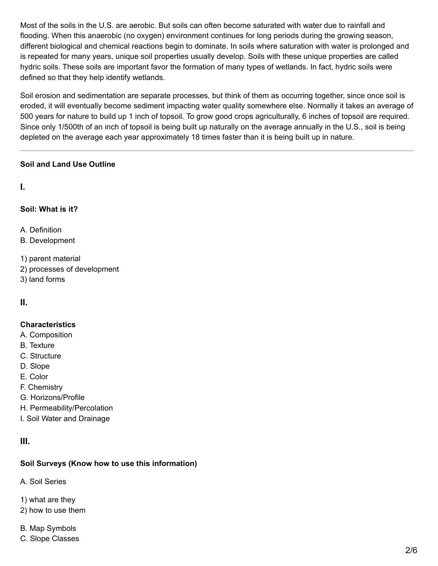Most of the soils in the U.S. are aerobic. But soils can often become saturated with water due to rainfall and flooding. When this anaerobic (no oxygen) environment continues for long periods during the growing season, different biological and chemical reactions begin to dominate. In soils where saturation with water is prolonged and is repeated for many years, unique soil properties usually develop. Soils with these unique properties are called hydric soils. These soils are important favor the formation of many types of wetlands. In fact, hydric soils were defined so that they help identify wetlands.

Soil erosion and sedimentation are separate processes, but think of them as occurring together, since once soil is eroded, it will eventually become sediment impacting water quality somewhere else. Normally it takes an average of 500 years for nature to build up 1 inch of topsoil. To grow good crops agriculturally, 6 inches of topsoil are required. Since only 1/500th of an inch of topsoil is being built up naturally on the average annually in the U.S., soil is being depleted on the average each year approximately 18 times faster than it is being built up in nature.

# **Soil and Land Use Outline**

**I.**

# **Soil: What is it?**

A. Definition

- B. Development
- 1) parent material
- 2) processes of development
- 3) land forms

**II.**

# **Characteristics**

- A. Composition
- B. Texture
- C. Structure
- D. Slope
- E. Color
- F. Chemistry
- G. Horizons/Profile
- H. Permeability/Percolation
- I. Soil Water and Drainage

# **III.**

# **Soil Surveys (Know how to use this information)**

A. Soil Series

- 1) what are they
- 2) how to use them
- B. Map Symbols
- C. Slope Classes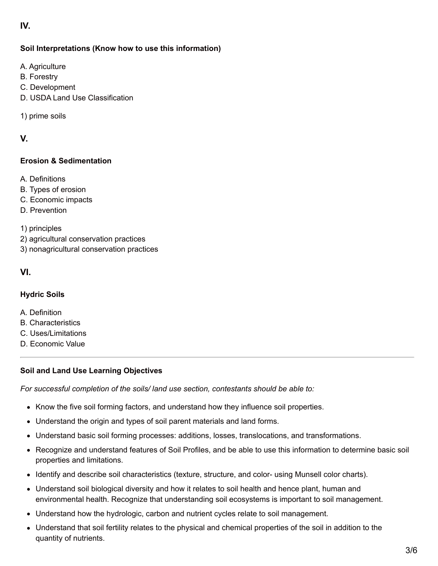# **IV.**

### **Soil Interpretations (Know how to use this information)**

- A. Agriculture
- B. Forestry
- C. Development
- D. USDA Land Use Classification
- 1) prime soils

# **V.**

#### **Erosion & Sedimentation**

- A. Definitions
- B. Types of erosion
- C. Economic impacts
- D. Prevention
- 1) principles
- 2) agricultural conservation practices
- 3) nonagricultural conservation practices

#### **VI.**

#### **Hydric Soils**

- A. Definition
- B. Characteristics
- C. Uses/Limitations
- D. Economic Value

#### **Soil and Land Use Learning Objectives**

*For successful completion of the soils/ land use section, contestants should be able to:*

- Know the five soil forming factors, and understand how they influence soil properties.
- Understand the origin and types of soil parent materials and land forms.
- Understand basic soil forming processes: additions, losses, translocations, and transformations.
- Recognize and understand features of Soil Profiles, and be able to use this information to determine basic soil properties and limitations.
- Identify and describe soil characteristics (texture, structure, and color- using Munsell color charts).
- Understand soil biological diversity and how it relates to soil health and hence plant, human and environmental health. Recognize that understanding soil ecosystems is important to soil management.
- Understand how the hydrologic, carbon and nutrient cycles relate to soil management.
- Understand that soil fertility relates to the physical and chemical properties of the soil in addition to the quantity of nutrients.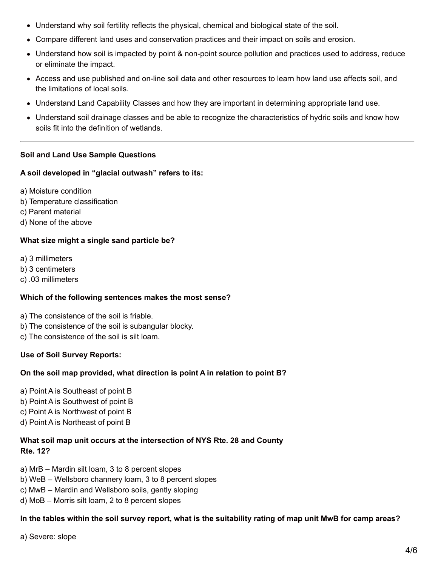- Understand why soil fertility reflects the physical, chemical and biological state of the soil.
- Compare different land uses and conservation practices and their impact on soils and erosion.
- Understand how soil is impacted by point & non-point source pollution and practices used to address, reduce or eliminate the impact.
- Access and use published and on-line soil data and other resources to learn how land use affects soil, and the limitations of local soils.
- Understand Land Capability Classes and how they are important in determining appropriate land use.
- Understand soil drainage classes and be able to recognize the characteristics of hydric soils and know how soils fit into the definition of wetlands.

#### **Soil and Land Use Sample Questions**

#### **A soil developed in "glacial outwash" refers to its:**

- a) Moisture condition
- b) Temperature classification
- c) Parent material
- d) None of the above

#### **What size might a single sand particle be?**

- a) 3 millimeters
- b) 3 centimeters
- c) .03 millimeters

#### **Which of the following sentences makes the most sense?**

- a) The consistence of the soil is friable.
- b) The consistence of the soil is subangular blocky.
- c) The consistence of the soil is silt loam.

#### **Use of Soil Survey Reports:**

#### **On the soil map provided, what direction is point A in relation to point B?**

- a) Point A is Southeast of point B
- b) Point A is Southwest of point B
- c) Point A is Northwest of point B
- d) Point A is Northeast of point B

#### **What soil map unit occurs at the intersection of NYS Rte. 28 and County Rte. 12?**

- a) MrB Mardin silt loam, 3 to 8 percent slopes
- b) WeB Wellsboro channery loam, 3 to 8 percent slopes
- c) MwB Mardin and Wellsboro soils, gently sloping
- d) MoB Morris silt loam, 2 to 8 percent slopes

# In the tables within the soil survey report, what is the suitability rating of map unit MwB for camp areas?

a) Severe: slope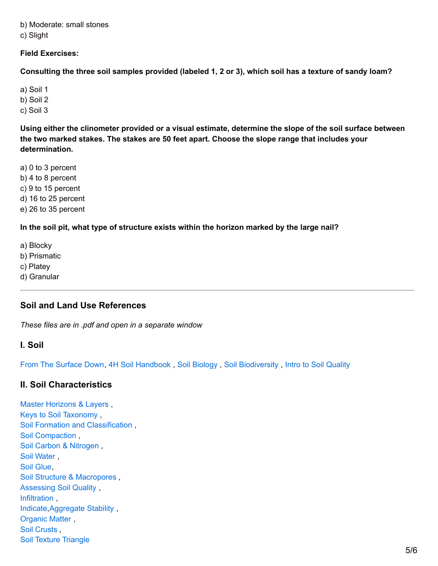b) Moderate: small stones

c) Slight

#### **Field Exercises:**

Consulting the three soil samples provided (labeled 1, 2 or 3), which soil has a texture of sandy loam?

a) Soil 1

b) Soil 2

c) Soil 3

Using either the clinometer provided or a visual estimate, determine the slope of the soil surface between **the two marked stakes. The stakes are 50 feet apart. Choose the slope range that includes your determination.**

a) 0 to 3 percent

b) 4 to 8 percent

c) 9 to 15 percent

d) 16 to 25 percent

e) 26 to 35 percent

#### **In the soil pit, what type of structure exists within the horizon marked by the large nail?**

a) Blocky

b) Prismatic

c) Platey

d) Granular

# **Soil and Land Use References**

*These files are in .pdf and open in a separate window*

# **I. Soil**

From The [Surface](http://www.nysenvirothon.com/Referencesandother/FromTheSurfaceDown_1_.pdf) Down, 4H Soil [Handbook](http://www.nysenvirothon.com/Referencesandother/4H_soilhandbook97_1_.pdf) , Soil [Biology](http://www.nysenvirothon.com/Referencesandother/soil_biology.pdf) , Soil [Biodiversity](http://www.nysenvirothon.com/Referencesandother/Soil_Biodiversity.pdf) , Intro to Soil [Quality](http://www.nysenvirothon.com/Referencesandother/Intro_to_Soil_Quality.pdf)

# **II. Soil Characteristics**

Master [Horizons](http://www.nysenvirothon.com/Referencesandother/Master_Horizons_and_Layers.pdf) & Layers , Keys to Soil [Taxonomy](http://www.nysenvirothon.com/Referencesandother/Soil_Taxonomy.pdf) , Soil Formation and [Classification](http://www.nysenvirothon.com/Referencesandother/Soil_Formation_and_Classification.pdf) , Soil [Compaction](http://www.nysenvirothon.com/Referencesandother/Soil_Compaction.pdf) , Soil Carbon & [Nitrogen](http://www.nysenvirothon.com/Referencesandother/Soil_Carbon_and_Nitrogen.pdf) , Soil [Water](http://www.nysenvirothon.com/Referencesandother/Soil_Water.pdf) , Soil [Glue](http://www.nysenvirothon.com/Referencesandother/Soil_Glue.pdf), Soil Structure & [Macropores](http://www.nysenvirothon.com/Referencesandother/Soil_Structure___Macropores.pdf) , [Assessing](http://www.nysenvirothon.com/Referencesandother/Assessing_Soil_Quality.pdf) Soil Quality , [Infiltration](http://www.nysenvirothon.com/Referencesandother/Infiltration.pdf) , [Indicate,](http://www.nysenvirothon.com/Referencesandother/indicate.pdf)[Aggregate](http://www.nysenvirothon.com/Referencesandother/Aggregate_Stability.pdf) Stability , [Organic](http://www.nysenvirothon.com/Referencesandother/Organic_Matter.pdf) Matter , Soil [Crusts](http://www.nysenvirothon.com/Referencesandother/Soil_Crusts.pdf) , Soil Texture [Triangle](http://www.nysenvirothon.com/Referencesandother/Soil_Triangle.pdf)